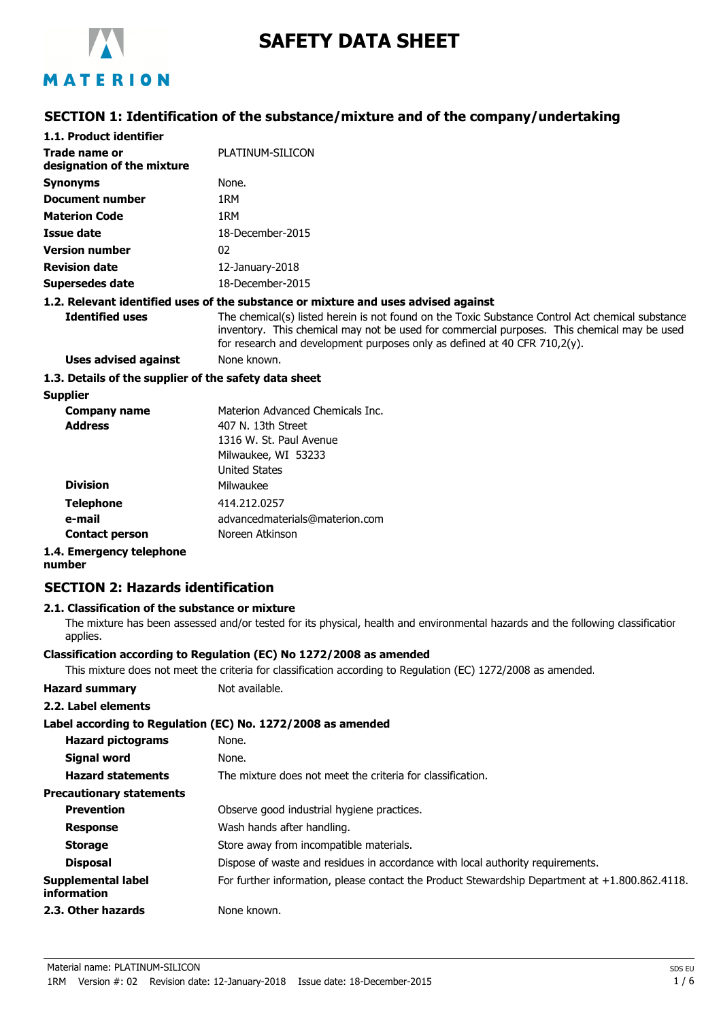

# **SAFETY DATA SHEET**

# MATERION

### **SECTION 1: Identification of the substance/mixture and of the company/undertaking**

| 1.1. Product identifier                               |                                                                                                                                                                                                                                                                              |
|-------------------------------------------------------|------------------------------------------------------------------------------------------------------------------------------------------------------------------------------------------------------------------------------------------------------------------------------|
| Trade name or<br>designation of the mixture           | PLATINUM-SILICON                                                                                                                                                                                                                                                             |
| <b>Synonyms</b>                                       | None.                                                                                                                                                                                                                                                                        |
| Document number                                       | 1RM                                                                                                                                                                                                                                                                          |
| <b>Materion Code</b>                                  | 1RM                                                                                                                                                                                                                                                                          |
| Issue date                                            | 18-December-2015                                                                                                                                                                                                                                                             |
| <b>Version number</b>                                 | 02                                                                                                                                                                                                                                                                           |
| <b>Revision date</b>                                  | $12$ -January-2018                                                                                                                                                                                                                                                           |
| Supersedes date                                       | 18-December-2015                                                                                                                                                                                                                                                             |
|                                                       | 1.2. Relevant identified uses of the substance or mixture and uses advised against                                                                                                                                                                                           |
| <b>Identified uses</b>                                | The chemical(s) listed herein is not found on the Toxic Substance Control Act chemical substance<br>inventory. This chemical may not be used for commercial purposes. This chemical may be used<br>for research and development purposes only as defined at 40 CFR 710,2(y). |
| Uses advised against                                  | None known.                                                                                                                                                                                                                                                                  |
| 1.3. Details of the supplier of the safety data sheet |                                                                                                                                                                                                                                                                              |
| Supplier                                              |                                                                                                                                                                                                                                                                              |

| Company name             | Materion Advanced Chemicals Inc. |
|--------------------------|----------------------------------|
| <b>Address</b>           | 407 N. 13th Street               |
|                          | 1316 W. St. Paul Avenue          |
|                          | Milwaukee, WI 53233              |
|                          | <b>United States</b>             |
| <b>Division</b>          | Milwaukee                        |
| <b>Telephone</b>         | 414.212.0257                     |
| e-mail                   | advancedmaterials@materion.com   |
| <b>Contact person</b>    | Noreen Atkinson                  |
| 1.4. Emergency telephone |                                  |

**number**

### **SECTION 2: Hazards identification**

### **2.1. Classification of the substance or mixture**

The mixture has been assessed and/or tested for its physical, health and environmental hazards and the following classification applies.

#### **Classification according to Regulation (EC) No 1272/2008 as amended**

This mixture does not meet the criteria for classification according to Regulation (EC) 1272/2008 as amended.

| <b>Hazard summary</b> | Not available. |
|-----------------------|----------------|
|-----------------------|----------------|

|  |  | 2.2. Label elements |
|--|--|---------------------|
|--|--|---------------------|

|                                          | Label according to Regulation (EC) No. 1272/2008 as amended                                       |
|------------------------------------------|---------------------------------------------------------------------------------------------------|
| <b>Hazard pictograms</b>                 | None.                                                                                             |
| <b>Signal word</b>                       | None.                                                                                             |
| <b>Hazard statements</b>                 | The mixture does not meet the criteria for classification.                                        |
| <b>Precautionary statements</b>          |                                                                                                   |
| <b>Prevention</b>                        | Observe good industrial hygiene practices.                                                        |
| <b>Response</b>                          | Wash hands after handling.                                                                        |
| <b>Storage</b>                           | Store away from incompatible materials.                                                           |
| <b>Disposal</b>                          | Dispose of waste and residues in accordance with local authority requirements.                    |
| <b>Supplemental label</b><br>information | For further information, please contact the Product Stewardship Department at $+1.800.862.4118$ . |
| 2.3. Other hazards                       | None known.                                                                                       |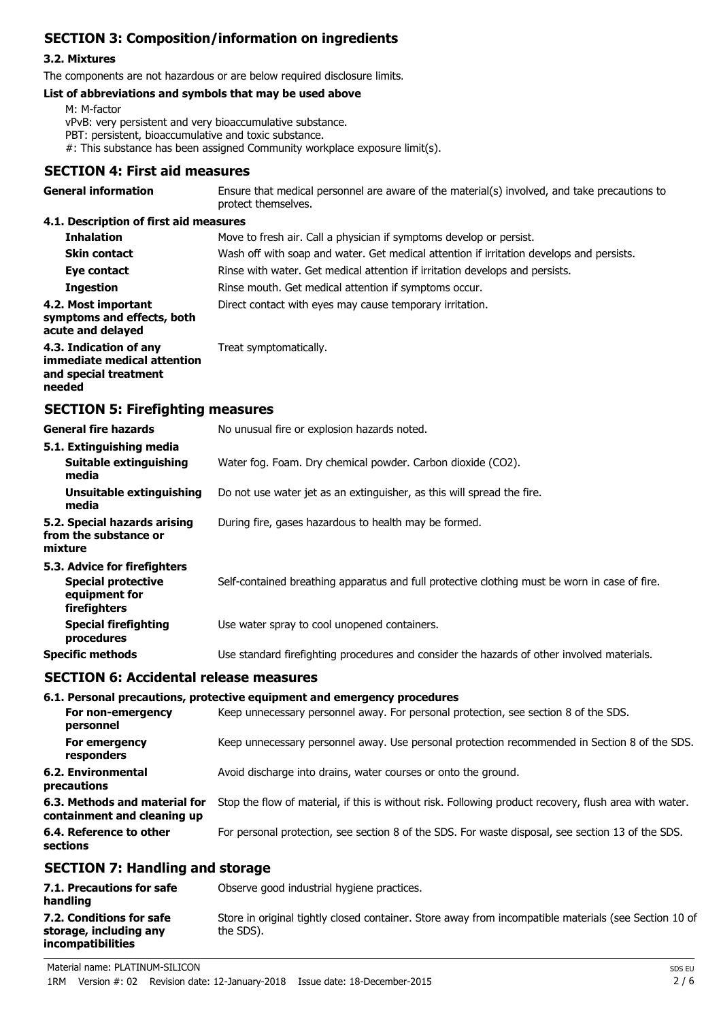# **SECTION 3: Composition/information on ingredients**

### **3.2. Mixtures**

The components are not hazardous or are below required disclosure limits.

#### **List of abbreviations and symbols that may be used above**

M: M-factor

vPvB: very persistent and very bioaccumulative substance.

- PBT: persistent, bioaccumulative and toxic substance.
- #: This substance has been assigned Community workplace exposure limit(s).

### **SECTION 4: First aid measures**

| <b>General information</b>                                                                 | Ensure that medical personnel are aware of the material(s) involved, and take precautions to<br>protect themselves. |
|--------------------------------------------------------------------------------------------|---------------------------------------------------------------------------------------------------------------------|
| 4.1. Description of first aid measures                                                     |                                                                                                                     |
| <b>Inhalation</b>                                                                          | Move to fresh air. Call a physician if symptoms develop or persist.                                                 |
| <b>Skin contact</b>                                                                        | Wash off with soap and water. Get medical attention if irritation develops and persists.                            |
| Eye contact                                                                                | Rinse with water. Get medical attention if irritation develops and persists.                                        |
| <b>Ingestion</b>                                                                           | Rinse mouth. Get medical attention if symptoms occur.                                                               |
| 4.2. Most important<br>symptoms and effects, both<br>acute and delayed                     | Direct contact with eyes may cause temporary irritation.                                                            |
| 4.3. Indication of any<br>immediate medical attention<br>and special treatment<br>needed   | Treat symptomatically.                                                                                              |
| <b>SECTION 5: Firefighting measures</b>                                                    |                                                                                                                     |
| <b>General fire hazards</b>                                                                | No unusual fire or explosion hazards noted.                                                                         |
| 5.1. Extinguishing media<br>Suitable extinguishing<br>media                                | Water fog. Foam. Dry chemical powder. Carbon dioxide (CO2).                                                         |
| Unsuitable extinguishing<br>media                                                          | Do not use water jet as an extinguisher, as this will spread the fire.                                              |
| 5.2. Special hazards arising<br>from the substance or<br>mixture                           | During fire, gases hazardous to health may be formed.                                                               |
| 5.3. Advice for firefighters<br><b>Special protective</b><br>equipment for<br>firefighters | Self-contained breathing apparatus and full protective clothing must be worn in case of fire.                       |
| <b>Special firefighting</b><br>procedures                                                  | Use water spray to cool unopened containers.                                                                        |
| <b>Specific methods</b>                                                                    | Use standard firefighting procedures and consider the hazards of other involved materials.                          |
| <b>SECTION 6: Accidental release measures</b>                                              |                                                                                                                     |
|                                                                                            | 6.1. Personal precautions, protective equipment and emergency procedures                                            |
| For non-emergency<br>personnel                                                             | Keep unnecessary personnel away. For personal protection, see section 8 of the SDS.                                 |
| For emergency<br>responders                                                                | Keep unnecessary personnel away. Use personal protection recommended in Section 8 of the SDS.                       |
| 6.2. Environmental<br>precautions                                                          | Avoid discharge into drains, water courses or onto the ground.                                                      |
| 6.3. Methods and material for<br>containment and cleaning up                               | Stop the flow of material, if this is without risk. Following product recovery, flush area with water.              |
| 6.4. Reference to other<br>sections                                                        | For personal protection, see section 8 of the SDS. For waste disposal, see section 13 of the SDS.                   |
| <b>SECTION 7: Handling and storage</b>                                                     |                                                                                                                     |
| 7.1. Precautions for safe<br>handling                                                      | Observe good industrial hygiene practices.                                                                          |
| 7.2. Conditions for safe<br>storage, including any<br>incompatibilities                    | Store in original tightly closed container. Store away from incompatible materials (see Section 10 of<br>the SDS).  |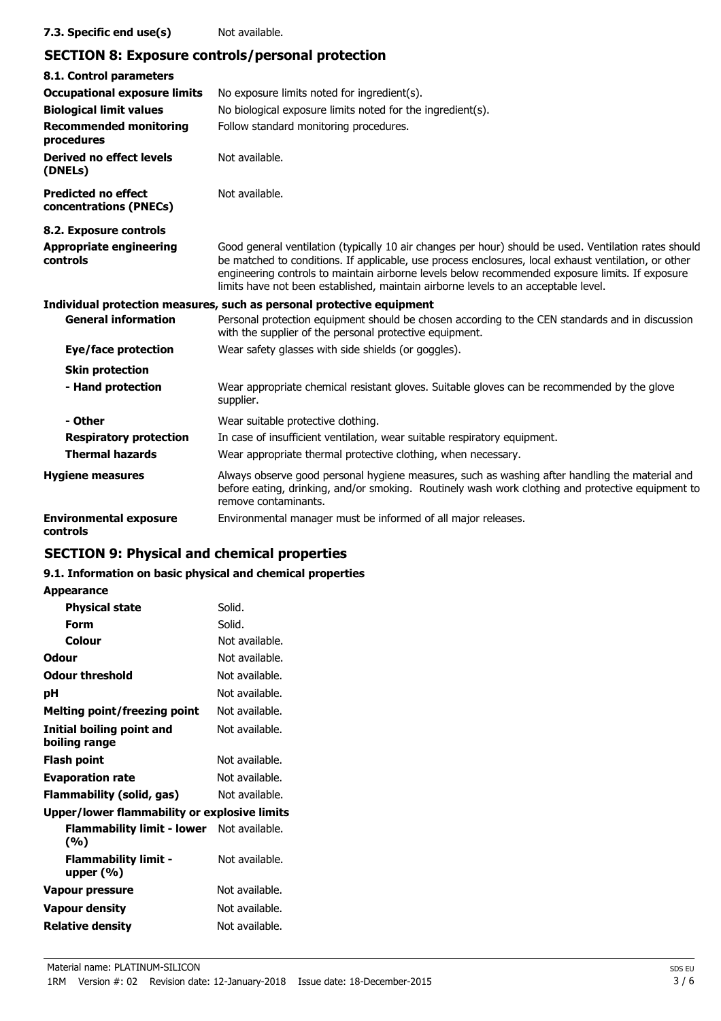### **7.3. Specific end use(s)** Not available.

### **SECTION 8: Exposure controls/personal protection**

| 8.1. Control parameters                              |                                                                                                                                                                                                                                                                                                                                                                                                        |
|------------------------------------------------------|--------------------------------------------------------------------------------------------------------------------------------------------------------------------------------------------------------------------------------------------------------------------------------------------------------------------------------------------------------------------------------------------------------|
| <b>Occupational exposure limits</b>                  | No exposure limits noted for ingredient(s).                                                                                                                                                                                                                                                                                                                                                            |
| <b>Biological limit values</b>                       | No biological exposure limits noted for the ingredient(s).                                                                                                                                                                                                                                                                                                                                             |
| <b>Recommended monitoring</b><br>procedures          | Follow standard monitoring procedures.                                                                                                                                                                                                                                                                                                                                                                 |
| <b>Derived no effect levels</b><br>(DNELs)           | Not available.                                                                                                                                                                                                                                                                                                                                                                                         |
| <b>Predicted no effect</b><br>concentrations (PNECs) | Not available.                                                                                                                                                                                                                                                                                                                                                                                         |
| 8.2. Exposure controls                               |                                                                                                                                                                                                                                                                                                                                                                                                        |
| <b>Appropriate engineering</b><br>controls           | Good general ventilation (typically 10 air changes per hour) should be used. Ventilation rates should<br>be matched to conditions. If applicable, use process enclosures, local exhaust ventilation, or other<br>engineering controls to maintain airborne levels below recommended exposure limits. If exposure<br>limits have not been established, maintain airborne levels to an acceptable level. |
|                                                      | Individual protection measures, such as personal protective equipment                                                                                                                                                                                                                                                                                                                                  |
| <b>General information</b>                           | Personal protection equipment should be chosen according to the CEN standards and in discussion<br>with the supplier of the personal protective equipment.                                                                                                                                                                                                                                             |
| <b>Eye/face protection</b>                           | Wear safety glasses with side shields (or goggles).                                                                                                                                                                                                                                                                                                                                                    |
| <b>Skin protection</b>                               |                                                                                                                                                                                                                                                                                                                                                                                                        |
| - Hand protection                                    | Wear appropriate chemical resistant gloves. Suitable gloves can be recommended by the glove<br>supplier.                                                                                                                                                                                                                                                                                               |
| - Other                                              | Wear suitable protective clothing.                                                                                                                                                                                                                                                                                                                                                                     |
| <b>Respiratory protection</b>                        | In case of insufficient ventilation, wear suitable respiratory equipment.                                                                                                                                                                                                                                                                                                                              |
| <b>Thermal hazards</b>                               | Wear appropriate thermal protective clothing, when necessary.                                                                                                                                                                                                                                                                                                                                          |
| <b>Hygiene measures</b>                              | Always observe good personal hygiene measures, such as washing after handling the material and<br>before eating, drinking, and/or smoking. Routinely wash work clothing and protective equipment to<br>remove contaminants.                                                                                                                                                                            |
| <b>Environmental exposure</b><br>controls            | Environmental manager must be informed of all major releases.                                                                                                                                                                                                                                                                                                                                          |

# **SECTION 9: Physical and chemical properties**

### **9.1. Information on basic physical and chemical properties**

| <b>Physical state</b><br>Solid.<br>Solid.<br>Form<br>Colour<br>Not available.<br>Odour<br>Not available.<br><b>Odour threshold</b><br>Not available.<br>Not available.<br>рH<br><b>Melting point/freezing point</b><br>Not available.<br>Initial boiling point and<br>Not available.<br>boiling range<br>Not available.<br>Flash point<br><b>Evaporation rate</b><br>Not available.<br>Not available.<br>Flammability (solid, gas)<br>Upper/lower flammability or explosive limits<br>Flammability limit - lower Not available.<br>(%)<br>Not available.<br><b>Flammability limit -</b><br>upper (%)<br>Not available.<br>Vapour pressure | <b>Appearance</b>     |                |
|-------------------------------------------------------------------------------------------------------------------------------------------------------------------------------------------------------------------------------------------------------------------------------------------------------------------------------------------------------------------------------------------------------------------------------------------------------------------------------------------------------------------------------------------------------------------------------------------------------------------------------------------|-----------------------|----------------|
|                                                                                                                                                                                                                                                                                                                                                                                                                                                                                                                                                                                                                                           |                       |                |
|                                                                                                                                                                                                                                                                                                                                                                                                                                                                                                                                                                                                                                           |                       |                |
|                                                                                                                                                                                                                                                                                                                                                                                                                                                                                                                                                                                                                                           |                       |                |
|                                                                                                                                                                                                                                                                                                                                                                                                                                                                                                                                                                                                                                           |                       |                |
|                                                                                                                                                                                                                                                                                                                                                                                                                                                                                                                                                                                                                                           |                       |                |
|                                                                                                                                                                                                                                                                                                                                                                                                                                                                                                                                                                                                                                           |                       |                |
|                                                                                                                                                                                                                                                                                                                                                                                                                                                                                                                                                                                                                                           |                       |                |
|                                                                                                                                                                                                                                                                                                                                                                                                                                                                                                                                                                                                                                           |                       |                |
|                                                                                                                                                                                                                                                                                                                                                                                                                                                                                                                                                                                                                                           |                       |                |
|                                                                                                                                                                                                                                                                                                                                                                                                                                                                                                                                                                                                                                           |                       |                |
|                                                                                                                                                                                                                                                                                                                                                                                                                                                                                                                                                                                                                                           |                       |                |
|                                                                                                                                                                                                                                                                                                                                                                                                                                                                                                                                                                                                                                           |                       |                |
|                                                                                                                                                                                                                                                                                                                                                                                                                                                                                                                                                                                                                                           |                       |                |
|                                                                                                                                                                                                                                                                                                                                                                                                                                                                                                                                                                                                                                           |                       |                |
|                                                                                                                                                                                                                                                                                                                                                                                                                                                                                                                                                                                                                                           |                       |                |
|                                                                                                                                                                                                                                                                                                                                                                                                                                                                                                                                                                                                                                           | <b>Vapour density</b> | Not available. |
| Not available.<br><b>Relative density</b>                                                                                                                                                                                                                                                                                                                                                                                                                                                                                                                                                                                                 |                       |                |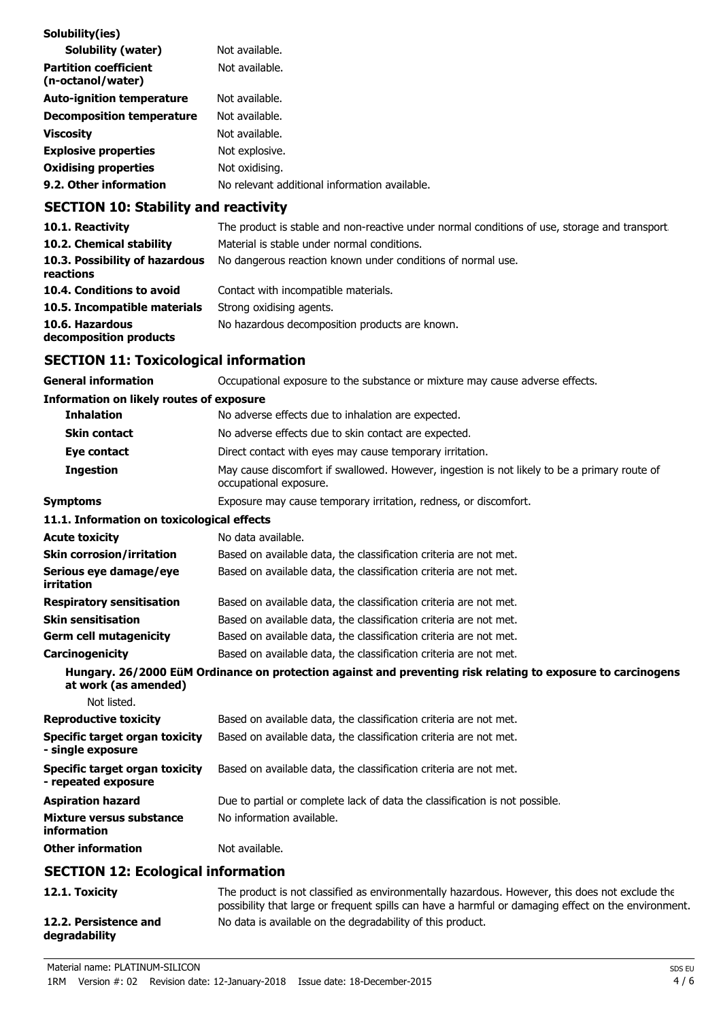| Solubility(ies)<br><b>Solubility (water)</b>      | Not available.                                |
|---------------------------------------------------|-----------------------------------------------|
| <b>Partition coefficient</b><br>(n-octanol/water) | Not available.                                |
| <b>Auto-ignition temperature</b>                  | Not available.                                |
| <b>Decomposition temperature</b>                  | Not available.                                |
| <b>Viscosity</b>                                  | Not available.                                |
| <b>Explosive properties</b>                       | Not explosive.                                |
| <b>Oxidising properties</b>                       | Not oxidising.                                |
| 9.2. Other information                            | No relevant additional information available. |

# **SECTION 10: Stability and reactivity**

| 10.1. Reactivity                            | The product is stable and non-reactive under normal conditions of use, storage and transport |
|---------------------------------------------|----------------------------------------------------------------------------------------------|
| 10.2. Chemical stability                    | Material is stable under normal conditions.                                                  |
| 10.3. Possibility of hazardous<br>reactions | No dangerous reaction known under conditions of normal use.                                  |
| 10.4. Conditions to avoid                   | Contact with incompatible materials.                                                         |
| 10.5. Incompatible materials                | Strong oxidising agents.                                                                     |
| 10.6. Hazardous<br>decomposition products   | No hazardous decomposition products are known.                                               |

# **SECTION 11: Toxicological information**

| <b>General information</b>                                   | Occupational exposure to the substance or mixture may cause adverse effects.                                                                                                                          |
|--------------------------------------------------------------|-------------------------------------------------------------------------------------------------------------------------------------------------------------------------------------------------------|
| <b>Information on likely routes of exposure</b>              |                                                                                                                                                                                                       |
| <b>Inhalation</b>                                            | No adverse effects due to inhalation are expected.                                                                                                                                                    |
| Skin contact                                                 | No adverse effects due to skin contact are expected.                                                                                                                                                  |
| Eye contact                                                  | Direct contact with eyes may cause temporary irritation.                                                                                                                                              |
| <b>Ingestion</b>                                             | May cause discomfort if swallowed. However, ingestion is not likely to be a primary route of<br>occupational exposure.                                                                                |
| <b>Symptoms</b>                                              | Exposure may cause temporary irritation, redness, or discomfort.                                                                                                                                      |
| 11.1. Information on toxicological effects                   |                                                                                                                                                                                                       |
| <b>Acute toxicity</b>                                        | No data available.                                                                                                                                                                                    |
| <b>Skin corrosion/irritation</b>                             | Based on available data, the classification criteria are not met.                                                                                                                                     |
| Serious eye damage/eye<br>irritation                         | Based on available data, the classification criteria are not met.                                                                                                                                     |
| <b>Respiratory sensitisation</b>                             | Based on available data, the classification criteria are not met.                                                                                                                                     |
| <b>Skin sensitisation</b>                                    | Based on available data, the classification criteria are not met.                                                                                                                                     |
| <b>Germ cell mutagenicity</b>                                | Based on available data, the classification criteria are not met.                                                                                                                                     |
| Carcinogenicity                                              | Based on available data, the classification criteria are not met.                                                                                                                                     |
| at work (as amended)                                         | Hungary. 26/2000 EüM Ordinance on protection against and preventing risk relating to exposure to carcinogens                                                                                          |
| Not listed.                                                  |                                                                                                                                                                                                       |
| <b>Reproductive toxicity</b>                                 | Based on available data, the classification criteria are not met.                                                                                                                                     |
| <b>Specific target organ toxicity</b><br>- single exposure   | Based on available data, the classification criteria are not met.                                                                                                                                     |
| <b>Specific target organ toxicity</b><br>- repeated exposure | Based on available data, the classification criteria are not met.                                                                                                                                     |
| <b>Aspiration hazard</b>                                     | Due to partial or complete lack of data the classification is not possible.                                                                                                                           |
| <b>Mixture versus substance</b><br>information               | No information available.                                                                                                                                                                             |
| <b>Other information</b>                                     | Not available.                                                                                                                                                                                        |
| <b>SECTION 12: Ecological information</b>                    |                                                                                                                                                                                                       |
| 12.1. Toxicity                                               | The product is not classified as environmentally hazardous. However, this does not exclude the<br>possibility that large or frequent spills can have a harmful or damaging effect on the environment. |
| 12.2. Persistence and<br>degradability                       | No data is available on the degradability of this product.                                                                                                                                            |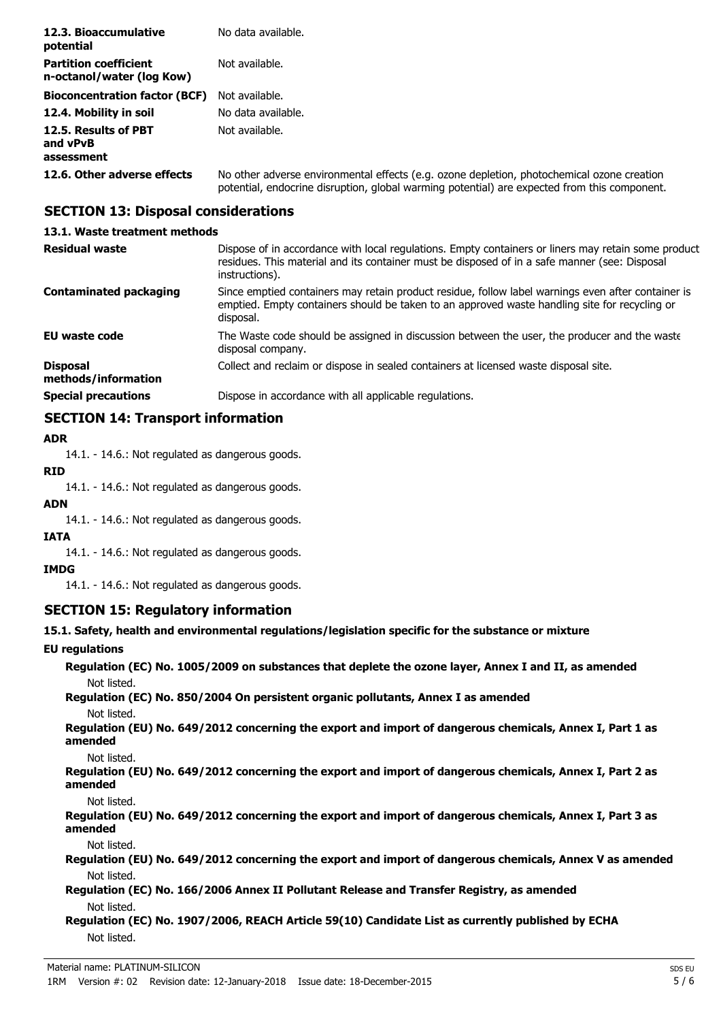| 12.3. Bioaccumulative<br>potential                        | No data available.                                                                                                                                                                         |
|-----------------------------------------------------------|--------------------------------------------------------------------------------------------------------------------------------------------------------------------------------------------|
| <b>Partition coefficient</b><br>n-octanol/water (log Kow) | Not available.                                                                                                                                                                             |
| <b>Bioconcentration factor (BCF)</b>                      | Not available.                                                                                                                                                                             |
| 12.4. Mobility in soil                                    | No data available.                                                                                                                                                                         |
| 12.5. Results of PBT<br>and vPvB<br>assessment            | Not available.                                                                                                                                                                             |
| 12.6. Other adverse effects                               | No other adverse environmental effects (e.g. ozone depletion, photochemical ozone creation<br>potential, endocrine disruption, global warming potential) are expected from this component. |

# **SECTION 13: Disposal considerations**

### **13.1. Waste treatment methods**

| <b>Residual waste</b>                  | Dispose of in accordance with local regulations. Empty containers or liners may retain some product<br>residues. This material and its container must be disposed of in a safe manner (see: Disposal<br>instructions). |
|----------------------------------------|------------------------------------------------------------------------------------------------------------------------------------------------------------------------------------------------------------------------|
| <b>Contaminated packaging</b>          | Since emptied containers may retain product residue, follow label warnings even after container is<br>emptied. Empty containers should be taken to an approved waste handling site for recycling or<br>disposal.       |
| <b>EU waste code</b>                   | The Waste code should be assigned in discussion between the user, the producer and the waste<br>disposal company.                                                                                                      |
| <b>Disposal</b><br>methods/information | Collect and reclaim or dispose in sealed containers at licensed waste disposal site.                                                                                                                                   |
| <b>Special precautions</b>             | Dispose in accordance with all applicable regulations.                                                                                                                                                                 |

### **SECTION 14: Transport information**

#### **ADR**

14.1. - 14.6.: Not regulated as dangerous goods.

### **RID**

14.1. - 14.6.: Not regulated as dangerous goods.

# **ADN**

14.1. - 14.6.: Not regulated as dangerous goods.

#### **IATA**

14.1. - 14.6.: Not regulated as dangerous goods.

### **IMDG**

14.1. - 14.6.: Not regulated as dangerous goods.

### **SECTION 15: Regulatory information**

### **15.1. Safety, health and environmental regulations/legislation specific for the substance or mixture**

### **EU regulations**

| Regulation (EC) No. 1005/2009 on substances that deplete the ozone layer, Annex I and II, as amended<br>Not listed.                |
|------------------------------------------------------------------------------------------------------------------------------------|
| Regulation (EC) No. 850/2004 On persistent organic pollutants, Annex I as amended<br>Not listed.                                   |
| Regulation (EU) No. 649/2012 concerning the export and import of dangerous chemicals, Annex I, Part 1 as<br>amended                |
| Not listed.<br>Regulation (EU) No. 649/2012 concerning the export and import of dangerous chemicals, Annex I, Part 2 as<br>amended |
| Not listed.<br>Regulation (EU) No. 649/2012 concerning the export and import of dangerous chemicals, Annex I, Part 3 as<br>amended |
| Not listed.<br>Regulation (EU) No. 649/2012 concerning the export and import of dangerous chemicals, Annex V as amended            |
| Not listed.<br>Regulation (EC) No. 166/2006 Annex II Pollutant Release and Transfer Registry, as amended                           |
| Not listed.<br>Regulation (EC) No. 1907/2006, REACH Article 59(10) Candidate List as currently published by ECHA                   |
| Not listed.                                                                                                                        |